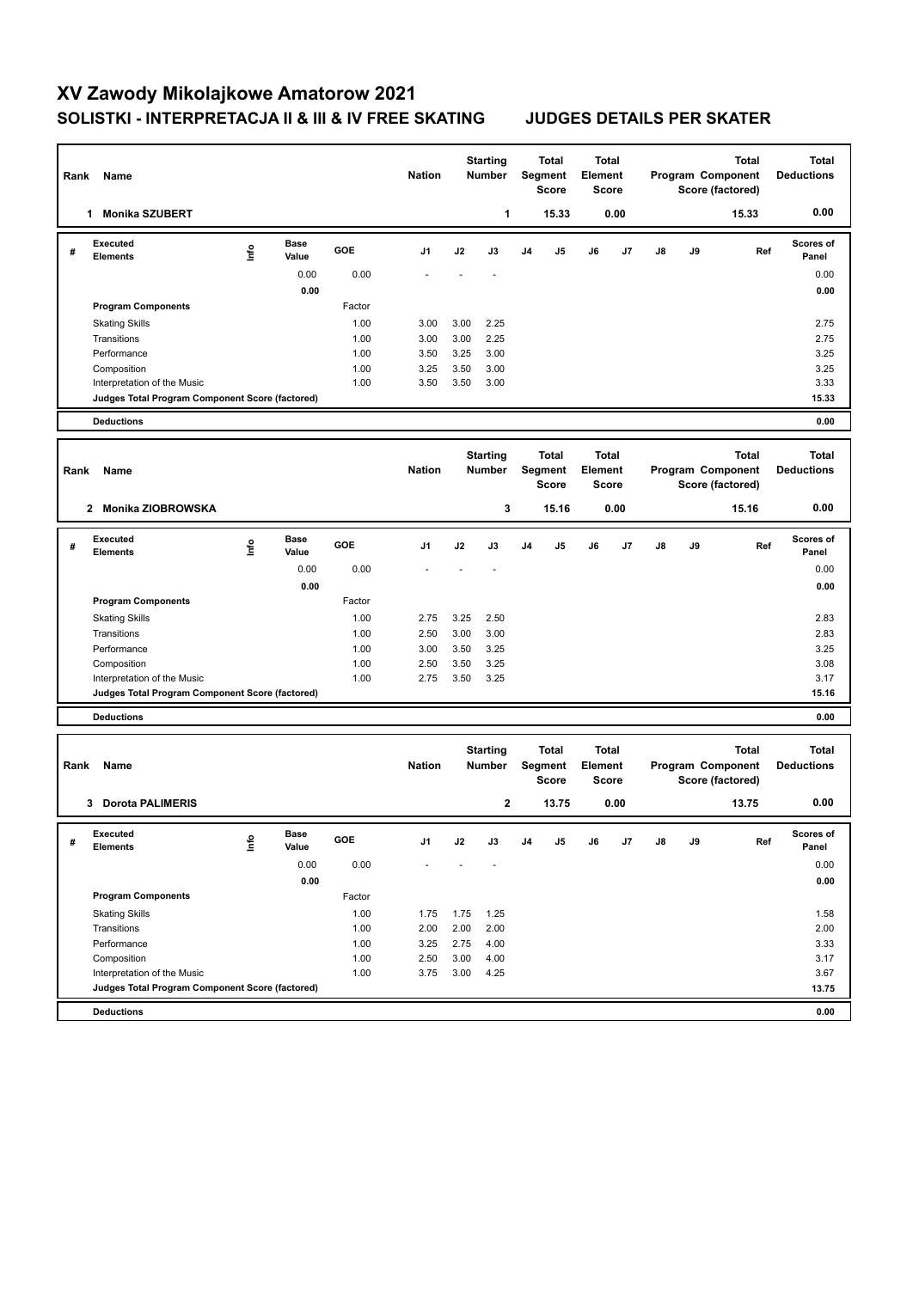## **XV Zawody Mikolajkowe Amatorow 2021 SOLISTKI - INTERPRETACJA II & III & IV FREE SKATING JUDGES DETAILS PER SKATER**

| Rank | Name                                            |      |                      |              | <b>Nation</b> |                                  | <b>Starting</b><br>Number        |                                         | <b>Total</b><br>Segment<br><b>Score</b> | <b>Total</b><br><b>Element</b>   | Score        |                                       |    | <b>Total</b><br>Program Component<br>Score (factored) | <b>Total</b><br><b>Deductions</b> |
|------|-------------------------------------------------|------|----------------------|--------------|---------------|----------------------------------|----------------------------------|-----------------------------------------|-----------------------------------------|----------------------------------|--------------|---------------------------------------|----|-------------------------------------------------------|-----------------------------------|
|      | <b>Monika SZUBERT</b><br>1                      |      |                      |              |               |                                  | 1                                |                                         | 15.33                                   |                                  | 0.00         |                                       |    | 15.33                                                 | 0.00                              |
| #    | <b>Executed</b><br><b>Elements</b>              | lnfo | <b>Base</b><br>Value | GOE          | J1            | J2                               | J3                               | J <sub>4</sub>                          | J5                                      | J6                               | J7           | J8                                    | J9 | Ref                                                   | Scores of<br>Panel                |
|      |                                                 |      | 0.00                 | 0.00         |               |                                  |                                  |                                         |                                         |                                  |              |                                       |    |                                                       | 0.00                              |
|      |                                                 |      | 0.00                 |              |               |                                  |                                  |                                         |                                         |                                  |              |                                       |    |                                                       | 0.00                              |
|      | <b>Program Components</b>                       |      |                      | Factor       |               |                                  |                                  |                                         |                                         |                                  |              |                                       |    |                                                       |                                   |
|      | <b>Skating Skills</b><br>Transitions            |      |                      | 1.00<br>1.00 | 3.00<br>3.00  | 3.00<br>3.00                     | 2.25<br>2.25                     |                                         |                                         |                                  |              |                                       |    |                                                       | 2.75<br>2.75                      |
|      | Performance                                     |      |                      | 1.00         | 3.50          | 3.25                             | 3.00                             |                                         |                                         |                                  |              |                                       |    |                                                       | 3.25                              |
|      | Composition                                     |      |                      | 1.00         | 3.25          | 3.50                             | 3.00                             |                                         |                                         |                                  |              |                                       |    |                                                       | 3.25                              |
|      | Interpretation of the Music                     |      |                      | 1.00         | 3.50          | 3.50                             | 3.00                             |                                         |                                         |                                  |              |                                       |    |                                                       | 3.33                              |
|      | Judges Total Program Component Score (factored) |      |                      |              |               |                                  |                                  |                                         |                                         |                                  |              |                                       |    |                                                       | 15.33                             |
|      | <b>Deductions</b>                               |      |                      |              |               |                                  |                                  |                                         |                                         |                                  |              |                                       |    |                                                       | 0.00                              |
| Rank | Name                                            |      |                      |              | <b>Nation</b> |                                  | <b>Starting</b><br><b>Number</b> |                                         | Total<br>Segment<br><b>Score</b>        | <b>Total</b><br>Element          | <b>Score</b> |                                       |    | <b>Total</b><br>Program Component<br>Score (factored) | <b>Total</b><br><b>Deductions</b> |
|      | Monika ZIOBROWSKA<br>$\mathbf{2}$               |      |                      |              |               |                                  | 3                                |                                         | 15.16                                   |                                  | 0.00         |                                       |    | 15.16                                                 | 0.00                              |
| #    | <b>Executed</b><br><b>Elements</b>              | ١m   | <b>Base</b><br>Value | GOE          | J1            | J2                               | J3                               | J4                                      | J5                                      | J6                               | J7           | J8                                    | J9 | Ref                                                   | Scores of<br>Panel                |
|      |                                                 |      | 0.00                 | 0.00         |               |                                  |                                  |                                         |                                         |                                  |              |                                       |    |                                                       | 0.00                              |
|      |                                                 |      | 0.00                 |              |               |                                  |                                  |                                         |                                         |                                  |              |                                       |    |                                                       | 0.00                              |
|      | <b>Program Components</b>                       |      |                      | Factor       |               |                                  |                                  |                                         |                                         |                                  |              |                                       |    |                                                       |                                   |
|      | <b>Skating Skills</b><br>Transitions            |      |                      | 1.00<br>1.00 | 2.75<br>2.50  | 3.25<br>3.00                     | 2.50<br>3.00                     |                                         |                                         |                                  |              |                                       |    |                                                       | 2.83<br>2.83                      |
|      | Performance                                     |      |                      | 1.00         | 3.00          | 3.50                             | 3.25                             |                                         |                                         |                                  |              |                                       |    |                                                       | 3.25                              |
|      | Composition                                     |      |                      | 1.00         | 2.50          | 3.50                             | 3.25                             |                                         |                                         |                                  |              |                                       |    |                                                       | 3.08                              |
|      | Interpretation of the Music                     |      |                      | 1.00         | 2.75          | 3.50                             | 3.25                             |                                         |                                         |                                  |              |                                       |    |                                                       | 3.17                              |
|      | Judges Total Program Component Score (factored) |      |                      |              |               |                                  |                                  |                                         |                                         |                                  |              |                                       |    |                                                       | 15.16                             |
|      | <b>Deductions</b>                               |      |                      |              |               |                                  |                                  |                                         |                                         |                                  |              |                                       |    |                                                       | 0.00                              |
| Rank | Name                                            |      |                      |              | <b>Nation</b> | <b>Starting</b><br><b>Number</b> |                                  | <b>Total</b><br>Segment<br><b>Score</b> |                                         | Total<br>Element<br><b>Score</b> |              | Program Component<br>Score (factored) |    | <b>Total</b>                                          | <b>Total</b><br><b>Deductions</b> |
|      | <b>Dorota PALIMERIS</b><br>3                    |      |                      |              |               |                                  | $\mathbf{2}$                     |                                         | 13.75                                   |                                  | 0.00         |                                       |    | 13.75                                                 | 0.00                              |
| #    | Executed<br><b>Elements</b>                     | ١nf٥ | Base<br>Value        | GOE          | J1            | J2                               | J3                               | J4                                      | J5                                      | J6                               | J7           | J8                                    | J9 | Ref                                                   | <b>Scores of</b><br>Panel         |
|      |                                                 |      | 0.00<br>0.00         | 0.00         |               |                                  |                                  |                                         |                                         |                                  |              |                                       |    |                                                       | 0.00<br>0.00                      |
|      | <b>Program Components</b>                       |      |                      | Factor       |               |                                  |                                  |                                         |                                         |                                  |              |                                       |    |                                                       |                                   |
|      | <b>Skating Skills</b>                           |      |                      | 1.00         | 1.75          | 1.75                             | 1.25                             |                                         |                                         |                                  |              |                                       |    |                                                       | 1.58                              |
|      | Transitions                                     |      |                      | 1.00         | 2.00          | 2.00                             | 2.00                             |                                         |                                         |                                  |              |                                       |    |                                                       | 2.00                              |
|      | Performance                                     |      |                      | 1.00         | 3.25          | 2.75                             | 4.00                             |                                         |                                         |                                  |              |                                       |    |                                                       | 3.33                              |
|      | Composition<br>Interpretation of the Music      |      |                      | 1.00<br>1.00 | 2.50<br>3.75  | 3.00<br>3.00                     | 4.00<br>4.25                     |                                         |                                         |                                  |              |                                       |    |                                                       | 3.17<br>3.67                      |
|      | Judges Total Program Component Score (factored) |      |                      |              |               |                                  |                                  |                                         |                                         |                                  |              |                                       |    |                                                       | 13.75                             |
|      | <b>Deductions</b>                               |      |                      |              |               |                                  |                                  |                                         |                                         |                                  |              |                                       |    |                                                       | 0.00                              |
|      |                                                 |      |                      |              |               |                                  |                                  |                                         |                                         |                                  |              |                                       |    |                                                       |                                   |